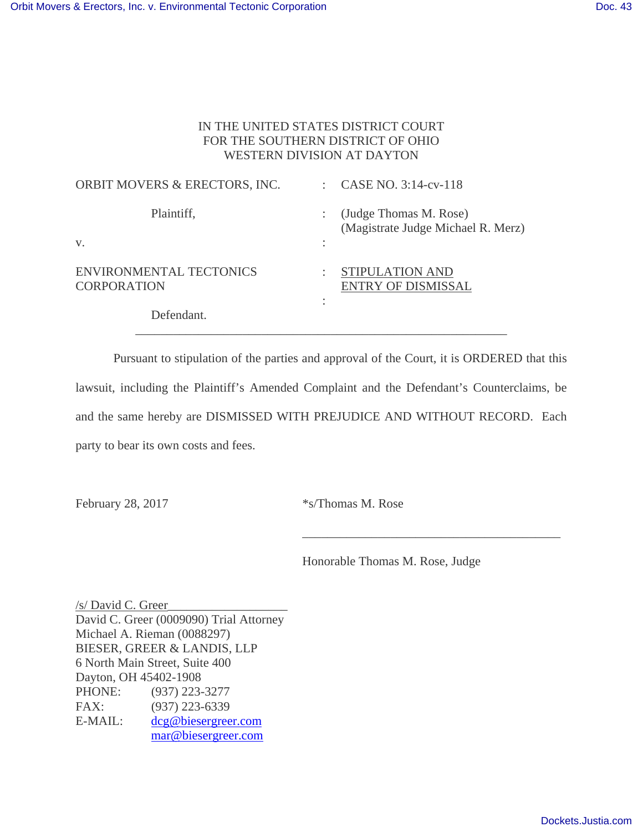## IN THE UNITED STATES DISTRICT COURT FOR THE SOUTHERN DISTRICT OF OHIO WESTERN DIVISION AT DAYTON

| ORBIT MOVERS & ERECTORS, INC.                        | CASE NO. 3:14-cv-118                                         |
|------------------------------------------------------|--------------------------------------------------------------|
| Plaintiff,                                           | (Judge Thomas M. Rose)<br>(Magistrate Judge Michael R. Merz) |
| V.                                                   |                                                              |
| <b>ENVIRONMENTAL TECTONICS</b><br><b>CORPORATION</b> | STIPULATION AND<br><b>ENTRY OF DISMISSAL</b><br>٠            |
| Defendant.                                           |                                                              |

 Pursuant to stipulation of the parties and approval of the Court, it is ORDERED that this lawsuit, including the Plaintiff's Amended Complaint and the Defendant's Counterclaims, be and the same hereby are DISMISSED WITH PREJUDICE AND WITHOUT RECORD. Each party to bear its own costs and fees.

 $\overline{\phantom{a}}$  , which is a set of the set of the set of the set of the set of the set of the set of the set of the set of the set of the set of the set of the set of the set of the set of the set of the set of the set of th

\_\_\_\_\_\_\_\_\_\_\_\_\_\_\_\_\_\_\_\_\_\_\_\_\_\_\_\_\_\_\_\_\_\_\_\_\_\_\_\_\_\_\_\_\_\_\_\_\_\_\_\_\_\_\_\_\_\_\_

February 28, 2017 \* s/Thomas M. Rose

Honorable Thomas M. Rose, Judge

/s/ David C. Greer\_\_\_\_\_\_\_\_\_\_\_\_\_\_\_\_\_\_\_ David C. Greer (0009090) Trial Attorney Michael A. Rieman (0088297) BIESER, GREER & LANDIS, LLP 6 North Main Street, Suite 400 Dayton, OH 45402-1908 PHONE: (937) 223-3277 FAX: (937) 223-6339 E-MAIL: dcg@biesergreer.com mar@biesergreer.com